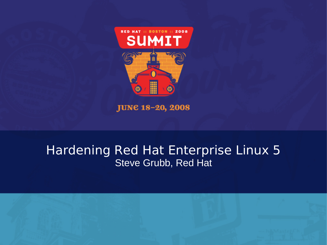

**JUNE 18-20, 2008** 

#### Hardening Red Hat Enterprise Linux 5 Steve Grubb, Red Hat

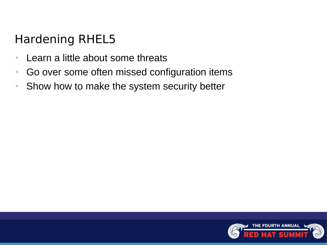# Hardening RHEL5

- Learn a little about some threats
- Go over some often missed configuration items
- Show how to make the system security better

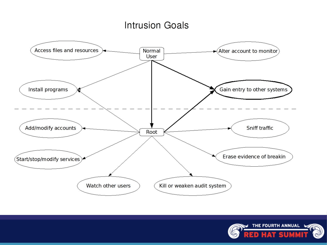#### **Intrusion Goals**



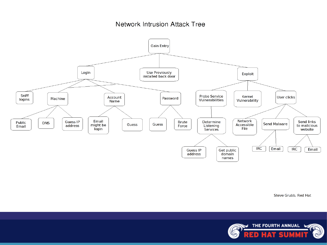#### **Network Intrusion Attack Tree**



Steve Grubb, Red Hat

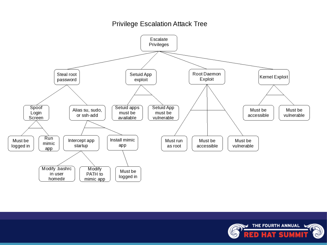#### **Privilege Escalation Attack Tree**



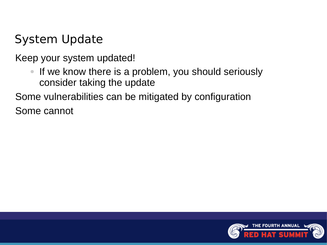# System Update

Keep your system updated!

• If we know there is a problem, you should seriously consider taking the update

Some vulnerabilities can be mitigated by configuration Some cannot

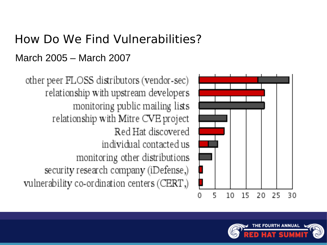# How Do We Find Vulnerabilities? March 2005 – March 2007



other peer FLOSS distributors (vendor-sec) relationship with upstream developers monitoring public mailing lists relationship with Mitre CVE project Red Hat discovered individual contacted us monitoring other distributions security research company (iDefense,) vulnerability co-ordination centers (CERT,)

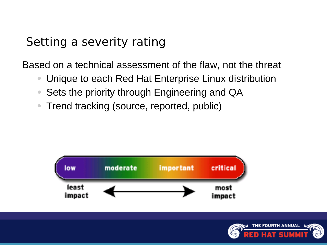### Setting a severity rating

Based on a technical assessment of the flaw, not the threat

- Unique to each Red Hat Enterprise Linux distribution
- Sets the priority through Engineering and QA
- Trend tracking (source, reported, public)



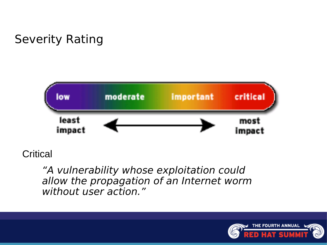

**Critical** 

"A vulnerability whose exploitation could allow the propagation of an Internet worm without user action."

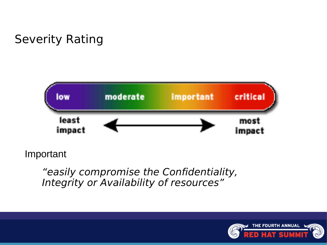

Important

"easily compromise the Confidentiality, Integrity or Availability of resources"

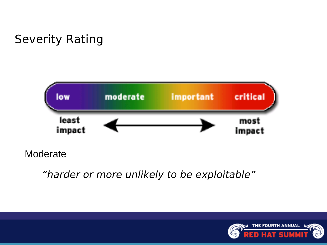

"harder or more unlikely to be exploitable"

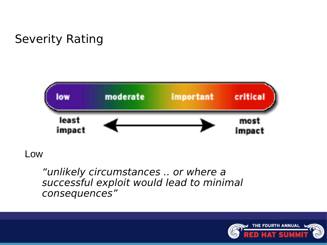

Low

"unlikely circumstances .. or where a successful exploit would lead to minimal consequences"

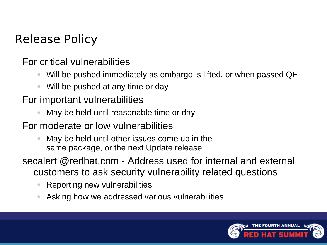### Release Policy

For critical vulnerabilities

- Will be pushed immediately as embargo is lifted, or when passed QE
- Will be pushed at any time or day

#### For important vulnerabilities

- May be held until reasonable time or day
- For moderate or low vulnerabilities
	- May be held until other issues come up in the same package, or the next Update release
- secalert @redhat.com Address used for internal and external customers to ask security vulnerability related questions
	- Reporting new vulnerabilities
	- Asking how we addressed various vulnerabilities

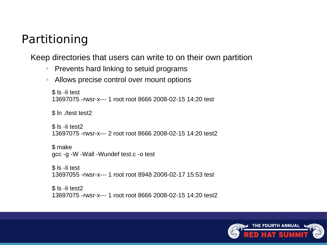## Partitioning

Keep directories that users can write to on their own partition

- Prevents hard linking to setuid programs
- Allows precise control over mount options

```
$ ls -li test
13697075 -rwsr-x--- 1 root root 8666 2008-02-15 14:20 test
```
\$ ln ./test test2

```
$ ls -li test2
13697075 -rwsr-x--- 2 root root 8666 2008-02-15 14:20 test2
```

```
$ make
gcc -g -W -Wall -Wundef test.c -o test
```

```
$ ls -li test
13697055 -rwsr-x--- 1 root root 8948 2008-02-17 15:53 test
```

```
$ ls -li test2
13697075 -rwsr-x--- 1 root root 8666 2008-02-15 14:20 test2
```
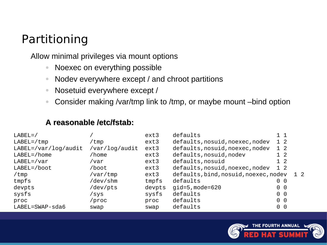## Partitioning

Allow minimal privileges via mount options

- Noexec on everything possible
- Nodev everywhere except / and chroot partitions
- Nosetuid everywhere except /
- Consider making /var/tmp link to /tmp, or maybe mount –bind option

#### **A reasonable /etc/fstab:**

| $LABEL=$             |                | ext3   | defaults                              | 11                |     |
|----------------------|----------------|--------|---------------------------------------|-------------------|-----|
| $LABEL=/\text{tmp}$  | /tmp           | ext3   | defaults, nosuid, noexec, nodev       | 1 <sub>2</sub>    |     |
| LABEL=/var/log/audit | /var/log/audit | ext3   | defaults, nosuid, noexec, nodev       | 1 <sub>2</sub>    |     |
| $LABEL=/home$        | $/$ home       | ext3   | defaults, nosuid, nodev               | 1 <sub>2</sub>    |     |
| LABEL=/var           | /var           | ext3   | defaults, nosuid                      | 1 <sub>2</sub>    |     |
| LABEL=/boot          | /boot          | ext3   | defaults, nosuid, noexec, nodev       | 1 <sub>2</sub>    |     |
| $/$ tmp              | /var/tmp       | ext3   | defaults, bind, nosuid, noexec, nodev |                   | 1 2 |
| tmpfs                | /dev/shm       | tmpfs  | defaults                              | $\Theta$ $\Theta$ |     |
| devpts               | /dev/pts       | devpts | $qid=5$ , mode=620                    | $\Theta$ $\Theta$ |     |
| sysfs                | /sys           | sysfs  | defaults                              | $\Theta$ $\Theta$ |     |
| proc                 | /proc          | proc   | defaults                              | $\Theta$ $\Theta$ |     |
| LABEL=SWAP-sda6      | swap           | swap   | defaults                              | $0$ $0$           |     |

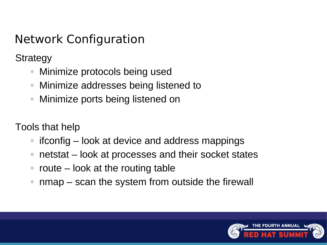**Strategy** 

- Minimize protocols being used
- Minimize addresses being listened to
- Minimize ports being listened on

Tools that help

- $i$  if config  $-$  look at device and address mappings
- netstat look at processes and their socket states
- route  $-$  look at the routing table
- $nmap scan$  the system from outside the firewall

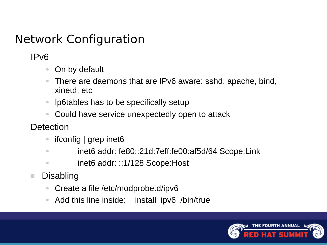IPv6

- On by default
- There are daemons that are IPv6 aware: sshd, apache, bind, xinetd, etc
- Ip6tables has to be specifically setup
- Could have service unexpectedly open to attack

Detection

- ifconfig | grep inet6
- inet6 addr: fe80::21d:7eff:fe00:af5d/64 Scope:Link
- inet6 addr: ::1/128 Scope: Host
- **Disabling** 
	- Create a file /etc/modprobe.d/ipv6
	- Add this line inside: install ipv6 /bin/true

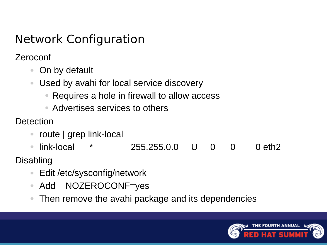Zeroconf

- On by default
- Used by avahi for local service discovery
	- Requires a hole in firewall to allow access
	- Advertises services to others

Detection

- route | grep link-local
- link-local \* 255.255.0.0 U 0 0 0 eth2

Disabling

- Edit /etc/sysconfig/network
- Add NOZEROCONF=yes
- Then remove the avahi package and its dependencies

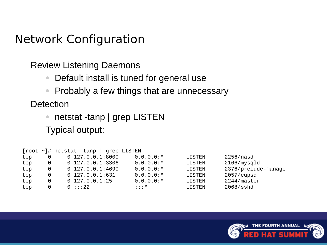Review Listening Daemons

- Default install is tuned for general use
- Probably a few things that are unnecessary

Detection

• netstat -tanp | grep LISTEN

Typical output:

|     |                       | $\lceil \text{root} \rangle$ + netstat -tanp   grep LISTEN |                    |               |                     |
|-----|-----------------------|------------------------------------------------------------|--------------------|---------------|---------------------|
| tcp | $\Theta$              | $0$ 127.0.0.1:8000                                         | $0.0.0.0:^{\star}$ | <b>LISTEN</b> | 2256/nasd           |
| tcp | $\Theta$              | $0\,$ 127.0.0.1:3306                                       | $0.0.0.0:^{\star}$ | <b>LISTEN</b> | 2166/mysqld         |
| tcp | 0                     | $0$ 127.0.0.1:4690                                         | $0.0.0.0:^*$       | <b>LISTEN</b> | 2376/prelude-manage |
| tcp | $\boldsymbol{\Theta}$ | $0$ 127.0.0.1:631                                          | $0.0.0.0:$ $\star$ | <b>LISTEN</b> | 2057/cupsd          |
| tcp | 0                     | $0$ 127.0.0.1:25                                           | $0.0.0.0:$ $\star$ | <b>LISTEN</b> | 2244/master         |
| tcp | 0                     | 0 : : : 22                                                 | $\cdots$ $\cdots$  | <b>LISTEN</b> | 2068/sshd           |

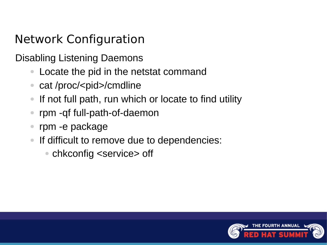Disabling Listening Daemons

- Locate the pid in the netstat command
- cat /proc/<pid>/cmdline
- If not full path, run which or locate to find utility
- rpm -qf full-path-of-daemon
- rpm -e package
- If difficult to remove due to dependencies:
	- chkconfig <service> off

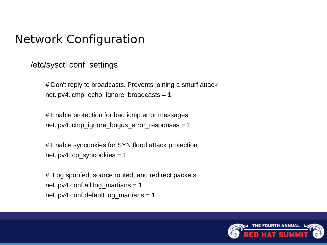/etc/sysctl.conf settings

# Don't reply to broadcasts. Prevents joining a smurf attack net.ipv4.icmp\_echo\_ignore\_broadcasts =  $1$ 

# Enable protection for bad icmp error messages net.ipv4.icmp\_ignore\_bogus\_error\_responses =  $1$ 

# Enable syncookies for SYN flood attack protection net.ipv4.tcp\_syncookies = 1

# Log spoofed, source routed, and redirect packets net.ipv4.conf.all.log\_martians = 1 net.ipv4.conf.default.log\_martians = 1

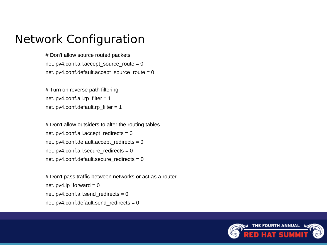# Don't allow source routed packets net.ipv4.conf.all.accept\_source\_route =  $0$ net.ipv4.conf.default.accept\_source\_route =  $0$ 

# Turn on reverse path filtering net.ipv4.conf.all.rp  $filter = 1$ net.ipv4.conf.default.rp  $filter = 1$ 

# Don't allow outsiders to alter the routing tables net.ipv4.conf.all.accept\_redirects = net.ipv4.conf.default.accept\_redirects = net.ipv4.conf.all.secure\_redirects = net.ipv4.conf.default.secure\_redirects =

# Don't pass traffic between networks or act as a router net.ipv4.ip forward = net.ipv4.conf.all.send redirects = net.ipv4.conf.default.send\_redirects =

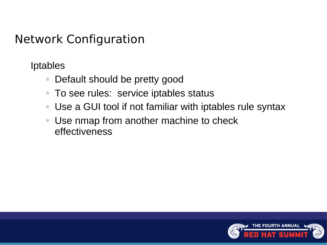Iptables

- Default should be pretty good
- To see rules: service iptables status
- Use a GUI tool if not familiar with iptables rule syntax
- Use nmap from another machine to check effectiveness

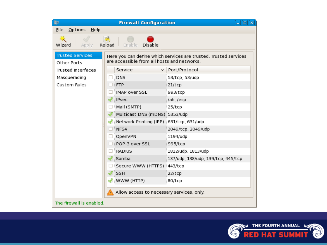| Bjs.<br><b>Firewall Configuration</b><br>_101×                                                                                                            |                                           |                                    |  |  |  |  |  |
|-----------------------------------------------------------------------------------------------------------------------------------------------------------|-------------------------------------------|------------------------------------|--|--|--|--|--|
| Options Help<br>File                                                                                                                                      |                                           |                                    |  |  |  |  |  |
| IS)<br>Apply Reload<br>Enable<br><b>Disable</b><br>Wizard                                                                                                 |                                           |                                    |  |  |  |  |  |
| <b>Trusted Services</b><br>Here you can define which services are trusted. Trusted services<br>are accessible from all hosts and networks.<br>Other Ports |                                           |                                    |  |  |  |  |  |
| Trusted Interfaces                                                                                                                                        | Service                                   | $\vee$ Port/Protocol               |  |  |  |  |  |
| Masquerading                                                                                                                                              | <b>DNS</b>                                | 53/tcp, 53/udp                     |  |  |  |  |  |
| Custom Rules                                                                                                                                              | <b>FTP</b>                                | 21/tcp                             |  |  |  |  |  |
|                                                                                                                                                           | <b>IMAP over SSL</b>                      | 993/tcp                            |  |  |  |  |  |
|                                                                                                                                                           | √ iPsec                                   | /ah, /esp                          |  |  |  |  |  |
|                                                                                                                                                           | Mail (SMTP)                               | 25/tcp                             |  |  |  |  |  |
|                                                                                                                                                           | Multicast DNS (mDNS) 5353/udp             |                                    |  |  |  |  |  |
|                                                                                                                                                           | Network Printing (IPP) 631/tcp, 631/udp & |                                    |  |  |  |  |  |
|                                                                                                                                                           | NFS4                                      | 2049/tcp, 2049/udp                 |  |  |  |  |  |
|                                                                                                                                                           | OpenVPN                                   | 1194/udp                           |  |  |  |  |  |
|                                                                                                                                                           | POP-3 over SSL                            | 995/tcp                            |  |  |  |  |  |
|                                                                                                                                                           | <b>RADIUS</b>                             | 1812/udp, 1813/udp                 |  |  |  |  |  |
|                                                                                                                                                           | √ Samba                                   | 137/udp, 138/udp, 139/tcp, 445/tcp |  |  |  |  |  |
|                                                                                                                                                           | Secure WWW (HTTPS) 443/tcp                |                                    |  |  |  |  |  |
|                                                                                                                                                           | <b>SSH</b>                                | 22/tcp                             |  |  |  |  |  |
|                                                                                                                                                           | $\sqrt{ }$ WWW (HTTP)                     | 80/tcp                             |  |  |  |  |  |
| Allow access to necessary services, only.                                                                                                                 |                                           |                                    |  |  |  |  |  |
| The firewall is enabled.                                                                                                                                  |                                           |                                    |  |  |  |  |  |

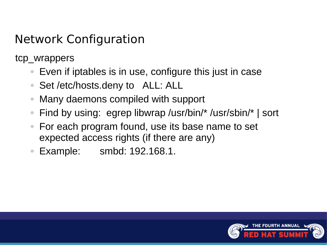tcp\_wrappers

- Even if iptables is in use, configure this just in case
- Set /etc/hosts.deny to ALL: ALL
- Many daemons compiled with support
- Find by using: egrep libwrap /usr/bin/\* /usr/sbin/\* | sort
- For each program found, use its base name to set expected access rights (if there are any)
- Example: smbd: 192.168.1.

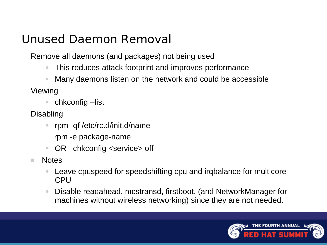### Unused Daemon Removal

Remove all daemons (and packages) not being used

- This reduces attack footprint and improves performance
- Many daemons listen on the network and could be accessible

Viewing

- chkconfig –list
- Disabling
	- rpm -qf /etc/rc.d/init.d/name
		- rpm -e package-name
	- OR chkconfig <service> off
- **Notes** 
	- Leave cpuspeed for speedshifting cpu and irqbalance for multicore CPU
	- Disable readahead, mcstransd, firstboot, (and NetworkManager for machines without wireless networking) since they are not needed.

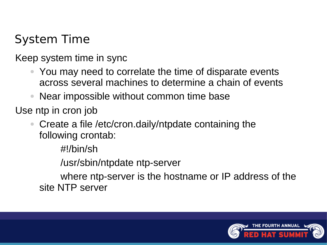# System Time

Keep system time in sync

- You may need to correlate the time of disparate events across several machines to determine a chain of events
- Near impossible without common time base

Use ntp in cron job

Create a file /etc/cron.daily/ntpdate containing the following crontab:

#!/bin/sh

/usr/sbin/ntpdate ntp-server

 where ntp-server is the hostname or IP address of the site NTP server

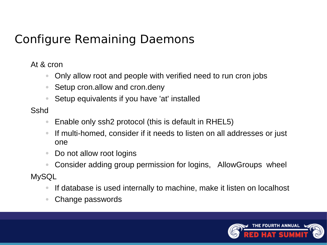## Configure Remaining Daemons

At & cron

- Only allow root and people with verified need to run cron jobs
- Setup cron.allow and cron.deny
- Setup equivalents if you have 'at' installed

Sshd

- Enable only ssh2 protocol (this is default in RHEL5)
- If multi-homed, consider if it needs to listen on all addresses or just one
- Do not allow root logins
- Consider adding group permission for logins, AllowGroups wheel

**MySQL** 

- If database is used internally to machine, make it listen on localhost
- Change passwords

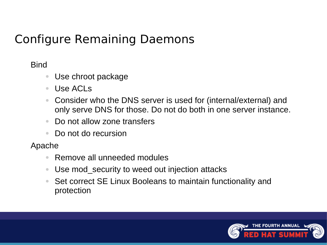## Configure Remaining Daemons

#### **Bind**

- Use chroot package
- Use ACLs
- Consider who the DNS server is used for (internal/external) and only serve DNS for those. Do not do both in one server instance.
- Do not allow zone transfers
- Do not do recursion

#### Apache

- Remove all unneeded modules
- Use mod\_security to weed out injection attacks
- Set correct SE Linux Booleans to maintain functionality and protection

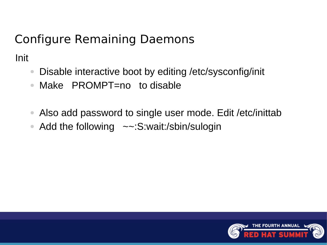# Configure Remaining Daemons

Init

- Disable interactive boot by editing /etc/sysconfig/init
- Make PROMPT=no to disable
- Also add password to single user mode. Edit /etc/inittab
- Add the following ~~: S:wait:/sbin/sulogin

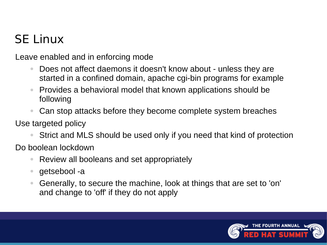# SE Linux

Leave enabled and in enforcing mode

- Does not affect daemons it doesn't know about unless they are started in a confined domain, apache cgi-bin programs for example
- Provides a behavioral model that known applications should be following
- Can stop attacks before they become complete system breaches

Use targeted policy

Strict and MLS should be used only if you need that kind of protection

Do boolean lockdown

- Review all booleans and set appropriately
- getsebool -a
- Generally, to secure the machine, look at things that are set to 'on' and change to 'off' if they do not apply

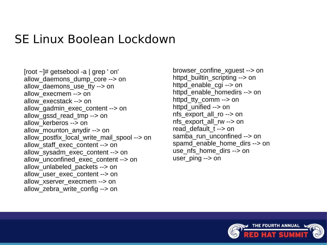#### SE Linux Boolean Lockdown

[root ~]# getsebool -a | grep ' on' allow\_daemons\_dump\_core --> on allow daemons use tty --> on allow\_execmem --> on allow\_execstack --> on allow\_gadmin\_exec\_content --> on allow\_gssd\_read\_tmp --> on allow\_kerberos --> on allow\_mounton\_anydir --> on allow postfix local write mail spool --> on allow staff exec content --> on allow\_sysadm\_exec\_content --> on allow\_unconfined\_exec\_content --> on allow\_unlabeled\_packets --> on allow\_user\_exec\_content --> on allow xserver execmem --> on allow\_zebra\_write\_config --> on

browser\_confine\_xguest --> on httpd builtin scripting --> on httpd\_enable\_cgi --> on httpd\_enable\_homedirs --> on httpd\_tty\_comm --> on httpd\_unified --> on nfs\_export\_all\_ro --> on nfs\_export\_all\_rw --> on read default t--> on samba run unconfined --> on spamd\_enable\_home\_dirs --> on use nfs home dirs --> on user\_ping --> on

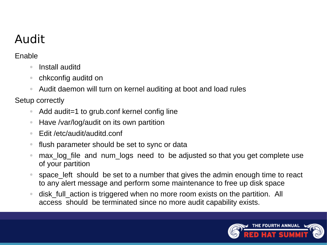# Audit

Enable

- Install auditd
- chkconfig auditd on
- Audit daemon will turn on kernel auditing at boot and load rules

Setup correctly

- Add audit=1 to grub.conf kernel config line
- Have /var/log/audit on its own partition
- Edit /etc/audit/auditd.conf
- flush parameter should be set to sync or data
- max log file and num logs need to be adjusted so that you get complete use of your partition
- space left should be set to a number that gives the admin enough time to react to any alert message and perform some maintenance to free up disk space
- disk full action is triggered when no more room exists on the partition. All access should be terminated since no more audit capability exists.

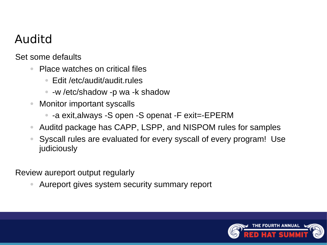## Auditd

Set some defaults

- Place watches on critical files
	- Edit /etc/audit/audit.rules
	- -w /etc/shadow -p wa -k shadow
- **Monitor important syscalls** 
	- -a exit,always -S open -S openat -F exit=-EPERM
- Auditd package has CAPP, LSPP, and NISPOM rules for samples
- Syscall rules are evaluated for every syscall of every program! Use judiciously

Review aureport output regularly

Aureport gives system security summary report

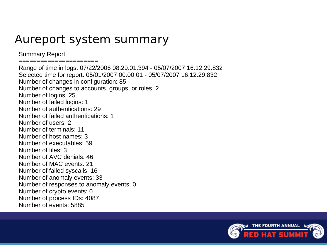#### Aureport system summary

Summary Report

======================

Range of time in logs: 07/22/2006 08:29:01.394 - 05/07/2007 16:12:29.832 Selected time for report: 05/01/2007 00:00:01 - 05/07/2007 16:12:29.832 Number of changes in configuration: 85 Number of changes to accounts, groups, or roles: 2 Number of logins: 25 Number of failed logins: 1 Number of authentications: 29 Number of failed authentications: 1 Number of users: 2 Number of terminals: 11 Number of host names: 3 Number of executables: 59 Number of files: 3 Number of AVC denials: 46 Number of MAC events: 21 Number of failed syscalls: 16 Number of anomaly events: 33 Number of responses to anomaly events: 0 Number of crypto events: 0 Number of process IDs: 4087 Number of events: 5885

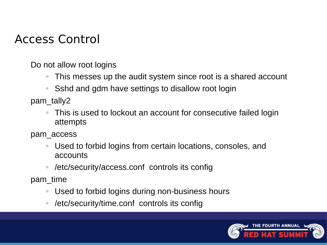### Access Control

Do not allow root logins

- This messes up the audit system since root is a shared account
- Sshd and gdm have settings to disallow root login

pam\_tally2

This is used to lockout an account for consecutive failed login attempts

pam\_access

- Used to forbid logins from certain locations, consoles, and accounts
- /etc/security/access.conf controls its config

pam\_time

- Used to forbid logins during non-business hours
- /etc/security/time.conf controls its config

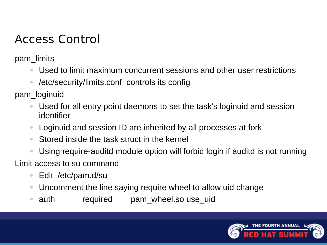## Access Control

pam\_limits

- Used to limit maximum concurrent sessions and other user restrictions
- /etc/security/limits.conf controls its config

pam\_loginuid

- Used for all entry point daemons to set the task's loginuid and session identifier
- Loginuid and session ID are inherited by all processes at fork
- Stored inside the task struct in the kernel
- Using require-auditd module option will forbid login if auditd is not running

Limit access to su command

- Edit /etc/pam.d/su
- Uncomment the line saying require wheel to allow uid change
- auth required pam wheel.so use uid

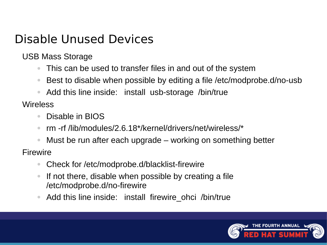### Disable Unused Devices

USB Mass Storage

- This can be used to transfer files in and out of the system
- Best to disable when possible by editing a file /etc/modprobe.d/no-usb
- Add this line inside: install usb-storage /bin/true

**Wireless** 

- Disable in BIOS
- rm -rf /lib/modules/2.6.18\*/kernel/drivers/net/wireless/\*
- Must be run after each upgrade working on something better

**Firewire** 

- Check for /etc/modprobe.d/blacklist-firewire
- If not there, disable when possible by creating a file /etc/modprobe.d/no-firewire
- Add this line inside: install firewire ohci /bin/true

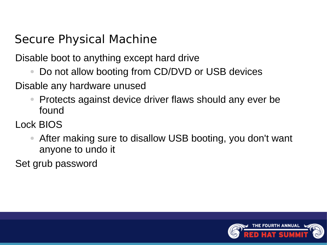## Secure Physical Machine

Disable boot to anything except hard drive

Do not allow booting from CD/DVD or USB devices

Disable any hardware unused

- Protects against device driver flaws should any ever be found
- Lock BIOS
	- After making sure to disallow USB booting, you don't want anyone to undo it

Set grub password

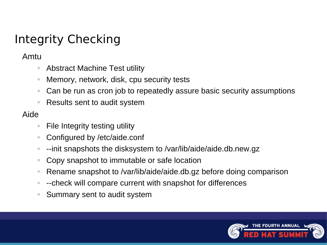# Integrity Checking

Amtu

- Abstract Machine Test utility
- Memory, network, disk, cpu security tests
- Can be run as cron job to repeatedly assure basic security assumptions
- Results sent to audit system

#### Aide

- File Integrity testing utility
- Configured by /etc/aide.conf
- --init snapshots the disksystem to /var/lib/aide/aide.db.new.gz
- Copy snapshot to immutable or safe location
- Rename snapshot to /var/lib/aide/aide.db.gz before doing comparison
- --check will compare current with snapshot for differences
- Summary sent to audit system

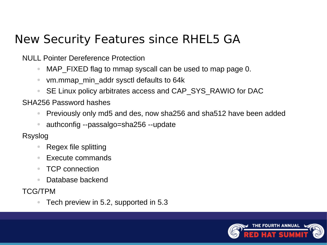## New Security Features since RHEL5 GA

NULL Pointer Dereference Protection

- MAP FIXED flag to mmap syscall can be used to map page 0.
- vm.mmap min addr sysctl defaults to 64k
- SE Linux policy arbitrates access and CAP\_SYS\_RAWIO for DAC

SHA256 Password hashes

- Previously only md5 and des, now sha256 and sha512 have been added
- authconfig --passalgo=sha256 --update

Rsyslog

- Regex file splitting
- Execute commands
- TCP connection
- Database backend

TCG/TPM

Tech preview in 5.2, supported in 5.3